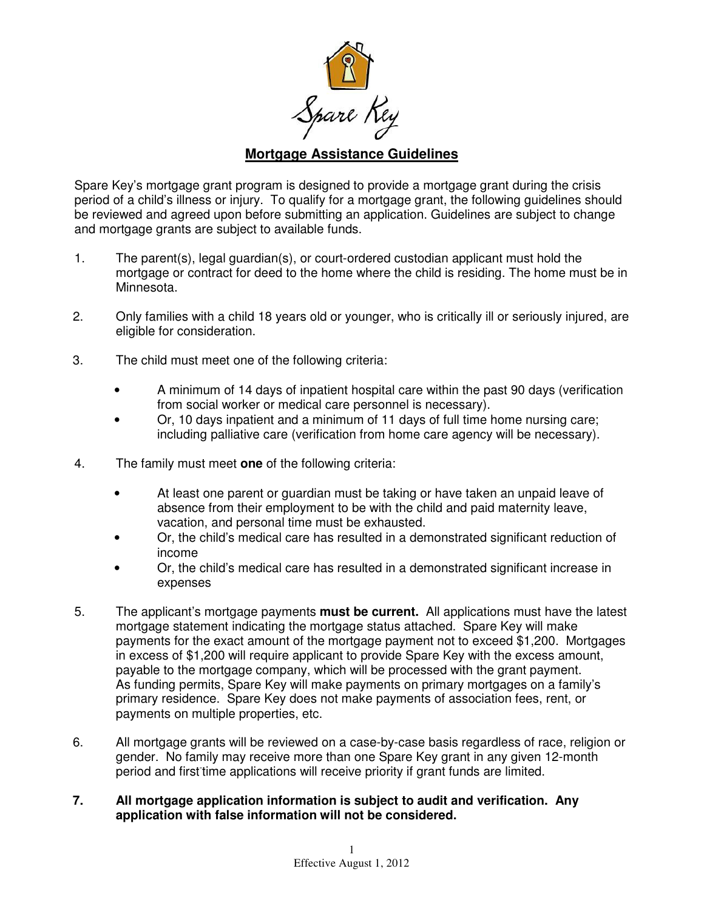

## **Mortgage Assistance Guidelines**

Spare Key's mortgage grant program is designed to provide a mortgage grant during the crisis period of a child's illness or injury. To qualify for a mortgage grant, the following guidelines should be reviewed and agreed upon before submitting an application. Guidelines are subject to change and mortgage grants are subject to available funds.

- 1. The parent(s), legal guardian(s), or court-ordered custodian applicant must hold the mortgage or contract for deed to the home where the child is residing. The home must be in Minnesota.
- 2. Only families with a child 18 years old or younger, who is critically ill or seriously injured, are eligible for consideration.
- 3. The child must meet one of the following criteria:
	- A minimum of 14 days of inpatient hospital care within the past 90 days (verification from social worker or medical care personnel is necessary).
	- Or, 10 days inpatient and a minimum of 11 days of full time home nursing care; including palliative care (verification from home care agency will be necessary).
- 4. The family must meet **one** of the following criteria:
	- At least one parent or guardian must be taking or have taken an unpaid leave of absence from their employment to be with the child and paid maternity leave, vacation, and personal time must be exhausted.
	- Or, the child's medical care has resulted in a demonstrated significant reduction of income
	- Or, the child's medical care has resulted in a demonstrated significant increase in expenses
- 5. The applicant's mortgage payments **must be current.** All applications must have the latest mortgage statement indicating the mortgage status attached. Spare Key will make payments for the exact amount of the mortgage payment not to exceed \$1,200. Mortgages in excess of \$1,200 will require applicant to provide Spare Key with the excess amount, payable to the mortgage company, which will be processed with the grant payment. As funding permits, Spare Key will make payments on primary mortgages on a family's primary residence. Spare Key does not make payments of association fees, rent, or payments on multiple properties, etc.
- 6. All mortgage grants will be reviewed on a case-by-case basis regardless of race, religion or gender. No family may receive more than one Spare Key grant in any given 12-month period and first time applications will receive priority if grant funds are limited.
- **7. All mortgage application information is subject to audit and verification. Any application with false information will not be considered.**